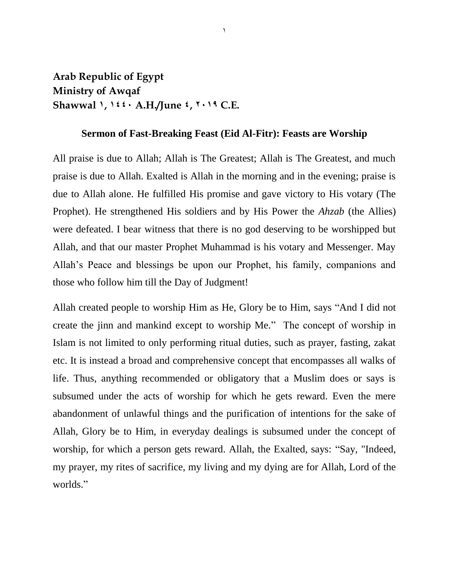## **Arab Republic of Egypt Ministry of Awqaf Shawwal 1, 1441 A.H./June 4, 9112 C.E.**

## **Sermon of Fast-Breaking Feast (Eid Al-Fitr): Feasts are Worship**

 $\lambda$ 

All praise is due to Allah; Allah is The Greatest; Allah is The Greatest, and much praise is due to Allah. Exalted is Allah in the morning and in the evening; praise is due to Allah alone. He fulfilled His promise and gave victory to His votary (The Prophet). He strengthened His soldiers and by His Power the *Ahzab* (the Allies) were defeated. I bear witness that there is no god deserving to be worshipped but Allah, and that our master Prophet Muhammad is his votary and Messenger. May Allah's Peace and blessings be upon our Prophet, his family, companions and those who follow him till the Day of Judgment!

Allah created people to worship Him as He, Glory be to Him, says "And I did not create the jinn and mankind except to worship Me." The concept of worship in Islam is not limited to only performing ritual duties, such as prayer, fasting, zakat etc. It is instead a broad and comprehensive concept that encompasses all walks of life. Thus, anything recommended or obligatory that a Muslim does or says is subsumed under the acts of worship for which he gets reward. Even the mere abandonment of unlawful things and the purification of intentions for the sake of Allah, Glory be to Him, in everyday dealings is subsumed under the concept of worship, for which a person gets reward. Allah, the Exalted, says: "Say, "Indeed, my prayer, my rites of sacrifice, my living and my dying are for Allah, Lord of the worlds."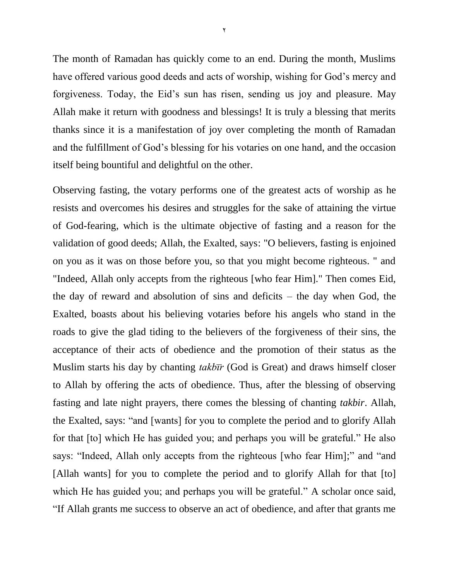The month of Ramadan has quickly come to an end. During the month, Muslims have offered various good deeds and acts of worship, wishing for God's mercy and forgiveness. Today, the Eid's sun has risen, sending us joy and pleasure. May Allah make it return with goodness and blessings! It is truly a blessing that merits thanks since it is a manifestation of joy over completing the month of Ramadan and the fulfillment of God's blessing for his votaries on one hand, and the occasion itself being bountiful and delightful on the other.

Observing fasting, the votary performs one of the greatest acts of worship as he resists and overcomes his desires and struggles for the sake of attaining the virtue of God-fearing, which is the ultimate objective of fasting and a reason for the validation of good deeds; Allah, the Exalted, says: "O believers, fasting is enjoined on you as it was on those before you, so that you might become righteous. " and "Indeed, Allah only accepts from the righteous [who fear Him]." Then comes Eid, the day of reward and absolution of sins and deficits – the day when God, the Exalted, boasts about his believing votaries before his angels who stand in the roads to give the glad tiding to the believers of the forgiveness of their sins, the acceptance of their acts of obedience and the promotion of their status as the Muslim starts his day by chanting  $takb\bar{u}r$  (God is Great) and draws himself closer to Allah by offering the acts of obedience. Thus, after the blessing of observing fasting and late night prayers, there comes the blessing of chanting *takbir*. Allah, the Exalted, says: "and [wants] for you to complete the period and to glorify Allah for that [to] which He has guided you; and perhaps you will be grateful." He also says: "Indeed, Allah only accepts from the righteous [who fear Him];" and "and [Allah wants] for you to complete the period and to glorify Allah for that [to] which He has guided you; and perhaps you will be grateful." A scholar once said, "If Allah grants me success to observe an act of obedience, and after that grants me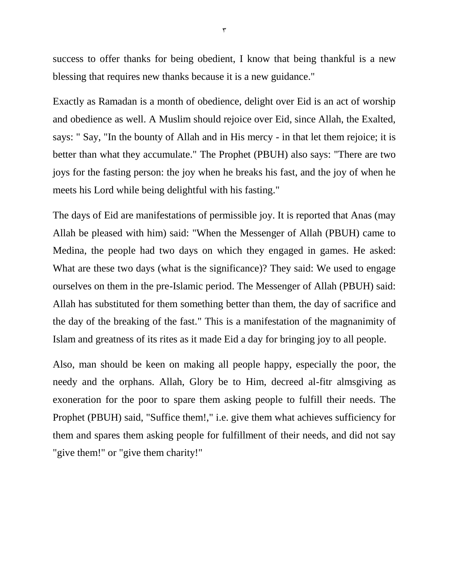success to offer thanks for being obedient, I know that being thankful is a new blessing that requires new thanks because it is a new guidance."

Exactly as Ramadan is a month of obedience, delight over Eid is an act of worship and obedience as well. A Muslim should rejoice over Eid, since Allah, the Exalted, says: " Say, "In the bounty of Allah and in His mercy - in that let them rejoice; it is better than what they accumulate." The Prophet (PBUH) also says: "There are two joys for the fasting person: the joy when he breaks his fast, and the joy of when he meets his Lord while being delightful with his fasting."

The days of Eid are manifestations of permissible joy. It is reported that Anas (may Allah be pleased with him) said: "When the Messenger of Allah (PBUH) came to Medina, the people had two days on which they engaged in games. He asked: What are these two days (what is the significance)? They said: We used to engage ourselves on them in the pre-Islamic period. The Messenger of Allah (PBUH) said: Allah has substituted for them something better than them, the day of sacrifice and the day of the breaking of the fast." This is a manifestation of the magnanimity of Islam and greatness of its rites as it made Eid a day for bringing joy to all people.

Also, man should be keen on making all people happy, especially the poor, the needy and the orphans. Allah, Glory be to Him, decreed al-fitr almsgiving as exoneration for the poor to spare them asking people to fulfill their needs. The Prophet (PBUH) said, "Suffice them!," i.e. give them what achieves sufficiency for them and spares them asking people for fulfillment of their needs, and did not say "give them!" or "give them charity!"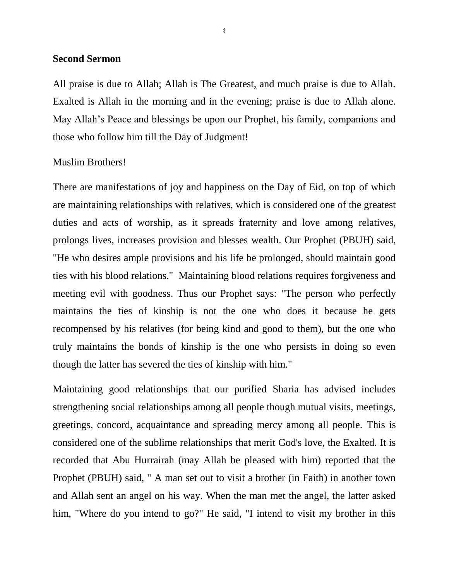## **Second Sermon**

All praise is due to Allah; Allah is The Greatest, and much praise is due to Allah. Exalted is Allah in the morning and in the evening; praise is due to Allah alone. May Allah's Peace and blessings be upon our Prophet, his family, companions and those who follow him till the Day of Judgment!

## Muslim Brothers!

There are manifestations of joy and happiness on the Day of Eid, on top of which are maintaining relationships with relatives, which is considered one of the greatest duties and acts of worship, as it spreads fraternity and love among relatives, prolongs lives, increases provision and blesses wealth. Our Prophet (PBUH) said, "He who desires ample provisions and his life be prolonged, should maintain good ties with his blood relations." Maintaining blood relations requires forgiveness and meeting evil with goodness. Thus our Prophet says: "The person who perfectly maintains the ties of kinship is not the one who does it because he gets recompensed by his relatives (for being kind and good to them), but the one who truly maintains the bonds of kinship is the one who persists in doing so even though the latter has severed the ties of kinship with him."

Maintaining good relationships that our purified Sharia has advised includes strengthening social relationships among all people though mutual visits, meetings, greetings, concord, acquaintance and spreading mercy among all people. This is considered one of the sublime relationships that merit God's love, the Exalted. It is recorded that Abu Hurrairah (may Allah be pleased with him) reported that the Prophet (PBUH) said, " A man set out to visit a brother (in Faith) in another town and Allah sent an angel on his way. When the man met the angel, the latter asked him, "Where do you intend to go?" He said, "I intend to visit my brother in this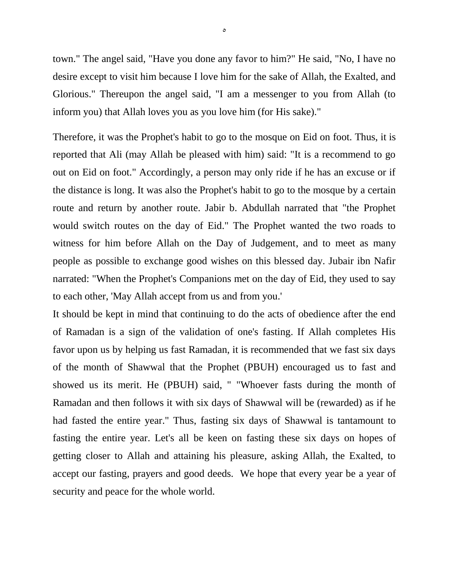town." The angel said, "Have you done any favor to him?" He said, "No, I have no desire except to visit him because I love him for the sake of Allah, the Exalted, and Glorious." Thereupon the angel said, "I am a messenger to you from Allah (to inform you) that Allah loves you as you love him (for His sake)."

Therefore, it was the Prophet's habit to go to the mosque on Eid on foot. Thus, it is reported that Ali (may Allah be pleased with him) said: "It is a recommend to go out on Eid on foot." Accordingly, a person may only ride if he has an excuse or if the distance is long. It was also the Prophet's habit to go to the mosque by a certain route and return by another route. Jabir b. Abdullah narrated that "the Prophet would switch routes on the day of Eid." The Prophet wanted the two roads to witness for him before Allah on the Day of Judgement, and to meet as many people as possible to exchange good wishes on this blessed day. Jubair ibn Nafir narrated: "When the Prophet's Companions met on the day of Eid, they used to say to each other, 'May Allah accept from us and from you.'

It should be kept in mind that continuing to do the acts of obedience after the end of Ramadan is a sign of the validation of one's fasting. If Allah completes His favor upon us by helping us fast Ramadan, it is recommended that we fast six days of the month of Shawwal that the Prophet (PBUH) encouraged us to fast and showed us its merit. He (PBUH) said, " "Whoever fasts during the month of Ramadan and then follows it with six days of Shawwal will be (rewarded) as if he had fasted the entire year." Thus, fasting six days of Shawwal is tantamount to fasting the entire year. Let's all be keen on fasting these six days on hopes of getting closer to Allah and attaining his pleasure, asking Allah, the Exalted, to accept our fasting, prayers and good deeds. We hope that every year be a year of security and peace for the whole world.

 $\circ$